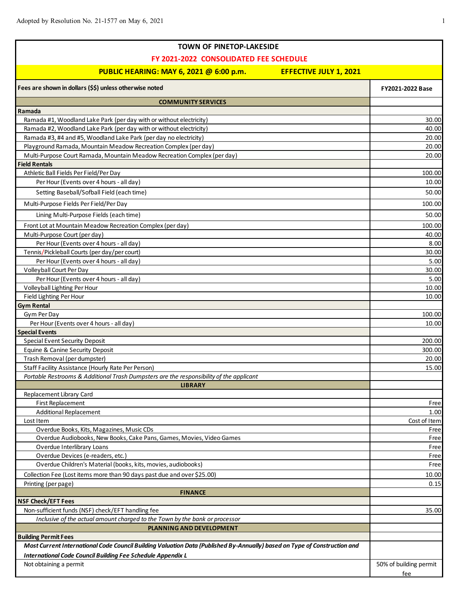Г

| <b>TOWN OF PINETOP-LAKESIDE</b>                                                                                           |                        |
|---------------------------------------------------------------------------------------------------------------------------|------------------------|
| FY 2021-2022 CONSOLIDATED FEE SCHEDULE                                                                                    |                        |
|                                                                                                                           |                        |
| PUBLIC HEARING: MAY 6, 2021 @ 6:00 p.m.<br><b>EFFECTIVE JULY 1, 2021</b>                                                  |                        |
| Fees are shown in dollars (\$\$) unless otherwise noted                                                                   | FY2021-2022 Base       |
| <b>COMMUNITY SERVICES</b>                                                                                                 |                        |
| Ramada                                                                                                                    |                        |
| Ramada #1, Woodland Lake Park (per day with or without electricity)                                                       | 30.00                  |
| Ramada #2, Woodland Lake Park (per day with or without electricity)                                                       | 40.00                  |
| Ramada #3, #4 and #5, Woodland Lake Park (per day no electricity)                                                         | 20.00                  |
| Playground Ramada, Mountain Meadow Recreation Complex (per day)                                                           | 20.00                  |
| Multi-Purpose Court Ramada, Mountain Meadow Recreation Complex (per day)                                                  | 20.00                  |
| <b>Field Rentals</b>                                                                                                      |                        |
| Athletic Ball Fields Per Field/Per Day                                                                                    | 100.00                 |
| Per Hour (Events over 4 hours - all day)                                                                                  | 10.00                  |
| Setting Baseball/Sofball Field (each time)                                                                                | 50.00                  |
| Multi-Purpose Fields Per Field/Per Day                                                                                    | 100.00                 |
| Lining Multi-Purpose Fields (each time)                                                                                   | 50.00                  |
| Front Lot at Mountain Meadow Recreation Complex (per day)                                                                 | 100.00                 |
| Multi-Purpose Court (per day)                                                                                             | 40.00                  |
| Per Hour (Events over 4 hours - all day)                                                                                  | 8.00                   |
| Tennis/Pickleball Courts (per day/per court)                                                                              | 30.00                  |
| Per Hour (Events over 4 hours - all day)                                                                                  | 5.00                   |
| Volleyball Court Per Day                                                                                                  | 30.00                  |
| Per Hour (Events over 4 hours - all day)                                                                                  | 5.00                   |
| Volleyball Lighting Per Hour                                                                                              | 10.00                  |
| Field Lighting Per Hour                                                                                                   | 10.00                  |
| <b>Gym Rental</b>                                                                                                         |                        |
| Gym Per Day                                                                                                               | 100.00                 |
| Per Hour (Events over 4 hours - all day)                                                                                  | 10.00                  |
| <b>Special Events</b>                                                                                                     |                        |
| <b>Special Event Security Deposit</b>                                                                                     | 200.00                 |
| Equine & Canine Security Deposit                                                                                          | 300.00                 |
| Trash Removal (per dumpster)                                                                                              | 20.00                  |
| Staff Facility Assistance (Hourly Rate Per Person)                                                                        | 15.00                  |
| Portable Restrooms & Additional Trash Dumpsters are the responsibility of the applicant                                   |                        |
| <b>LIBRARY</b>                                                                                                            |                        |
| Replacement Library Card                                                                                                  |                        |
| First Replacement                                                                                                         | Free                   |
| <b>Additional Replacement</b>                                                                                             | 1.00                   |
| Lost Item<br>Overdue Books, Kits, Magazines, Music CDs                                                                    | Cost of Item           |
| Overdue Audiobooks, New Books, Cake Pans, Games, Movies, Video Games                                                      | Free<br>Free           |
| Overdue Interlibrary Loans                                                                                                | Free                   |
| Overdue Devices (e-readers, etc.)                                                                                         | Free                   |
| Overdue Children's Material (books, kits, movies, audiobooks)                                                             | Free                   |
| Collection Fee (Lost items more than 90 days past due and over \$25.00)                                                   | 10.00                  |
| Printing (per page)                                                                                                       | 0.15                   |
| <b>FINANCE</b>                                                                                                            |                        |
| <b>NSF Check/EFT Fees</b>                                                                                                 |                        |
| Non-sufficient funds (NSF) check/EFT handling fee                                                                         | 35.00                  |
| Inclusive of the actual amount charged to the Town by the bank or processor                                               |                        |
| PLANNING AND DEVELOPMENT                                                                                                  |                        |
| <b>Building Permit Fees</b>                                                                                               |                        |
| Most Current International Code Council Building Valuation Data (Published By-Annually) based on Type of Construction and |                        |
| <b>International Code Council Building Fee Schedule Appendix L</b>                                                        |                        |
| Not obtaining a permit                                                                                                    | 50% of building permit |
|                                                                                                                           | fee                    |

ī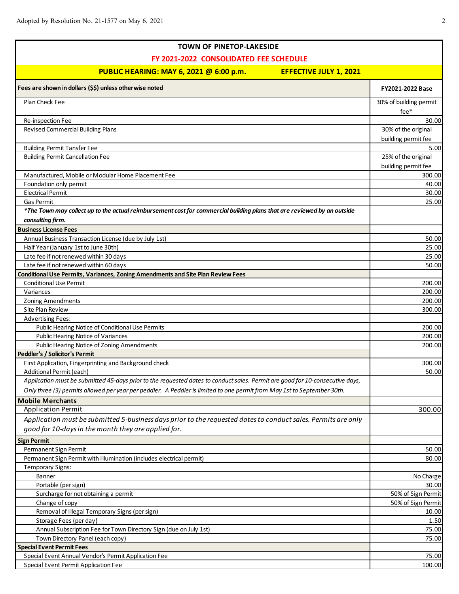| FY 2021-2022 CONSOLIDATED FEE SCHEDULE<br>PUBLIC HEARING: MAY 6, 2021 @ 6:00 p.m.<br><b>EFFECTIVE JULY 1, 2021</b><br>FY2021-2022 Base<br>Plan Check Fee<br>30% of building permit<br>fee*<br>Re-inspection Fee<br>Revised Commercial Building Plans<br>30% of the original<br>building permit fee<br><b>Building Permit Tansfer Fee</b><br>5.00<br><b>Building Permit Cancellation Fee</b><br>25% of the original<br>building permit fee<br>Manufactured, Mobile or Modular Home Placement Fee<br>300.00<br>Foundation only permit<br><b>Electrical Permit</b><br><b>Gas Permit</b><br>*The Town may collect up to the actual reimbursement cost for commercial building plans that are reviewed by an outside<br>consulting firm.<br>Annual Business Transaction License (due by July 1st)<br>Half Year (January 1st to June 30th)<br>Late fee if not renewed within 30 days<br>Late fee if not renewed within 60 days<br><b>Conditional Use Permit</b><br>Variances<br><b>Zoning Amendments</b><br>Site Plan Review<br><b>Advertising Fees:</b><br>Public Hearing Notice of Conditional Use Permits<br>200.00<br>Public Hearing Notice of Variances<br>200.00<br>Public Hearing Notice of Zoning Amendments<br>200.00<br>Peddler's / Solicitor's Permit<br>First Application, Fingerprinting and Background check<br>300.00<br>50.00<br>Additional Permit (each)<br>Application must be submitted 45-days prior to the requested dates to conduct sales. Permit are good for 10-consecutive days,<br>Only three (3) permits allowed per year per peddler. A Peddler is limited to one permit from May 1st to September 30th.<br><b>Mobile Merchants</b><br><b>Application Permit</b><br>300.00<br>Application must be submitted 5-business days prior to the requested dates to conduct sales. Permits are only<br>good for 10-days in the month they are applied for.<br>Permanent Sign Permit<br>Permanent Sign Permit with Illumination (includes electrical permit)<br><b>Temporary Signs:</b><br>Banner<br>No Charge<br>Portable (per sign)<br>30.00<br>50% of Sign Permit<br>Surcharge for not obtaining a permit<br>Change of copy<br>50% of Sign Permit<br>Removal of Illegal Temporary Signs (per sign)<br>10.00<br>Storage Fees (per day)<br>1.50<br>Annual Subscription Fee for Town Directory Sign (due on July 1st)<br>75.00<br>Town Directory Panel (each copy)<br><b>Special Event Permit Fees</b><br>Special Event Annual Vendor's Permit Application Fee | <b>TOWN OF PINETOP-LAKESIDE</b>                                                 |        |
|------------------------------------------------------------------------------------------------------------------------------------------------------------------------------------------------------------------------------------------------------------------------------------------------------------------------------------------------------------------------------------------------------------------------------------------------------------------------------------------------------------------------------------------------------------------------------------------------------------------------------------------------------------------------------------------------------------------------------------------------------------------------------------------------------------------------------------------------------------------------------------------------------------------------------------------------------------------------------------------------------------------------------------------------------------------------------------------------------------------------------------------------------------------------------------------------------------------------------------------------------------------------------------------------------------------------------------------------------------------------------------------------------------------------------------------------------------------------------------------------------------------------------------------------------------------------------------------------------------------------------------------------------------------------------------------------------------------------------------------------------------------------------------------------------------------------------------------------------------------------------------------------------------------------------------------------------------------------------------------------------------------------------------------------------------------------------------------------------------------------------------------------------------------------------------------------------------------------------------------------------------------------------------------------------------------------------------------------------------------------------------------------------------------------------------------------------------------------------|---------------------------------------------------------------------------------|--------|
|                                                                                                                                                                                                                                                                                                                                                                                                                                                                                                                                                                                                                                                                                                                                                                                                                                                                                                                                                                                                                                                                                                                                                                                                                                                                                                                                                                                                                                                                                                                                                                                                                                                                                                                                                                                                                                                                                                                                                                                                                                                                                                                                                                                                                                                                                                                                                                                                                                                                              |                                                                                 |        |
|                                                                                                                                                                                                                                                                                                                                                                                                                                                                                                                                                                                                                                                                                                                                                                                                                                                                                                                                                                                                                                                                                                                                                                                                                                                                                                                                                                                                                                                                                                                                                                                                                                                                                                                                                                                                                                                                                                                                                                                                                                                                                                                                                                                                                                                                                                                                                                                                                                                                              |                                                                                 |        |
|                                                                                                                                                                                                                                                                                                                                                                                                                                                                                                                                                                                                                                                                                                                                                                                                                                                                                                                                                                                                                                                                                                                                                                                                                                                                                                                                                                                                                                                                                                                                                                                                                                                                                                                                                                                                                                                                                                                                                                                                                                                                                                                                                                                                                                                                                                                                                                                                                                                                              | Fees are shown in dollars (\$\$) unless otherwise noted                         |        |
|                                                                                                                                                                                                                                                                                                                                                                                                                                                                                                                                                                                                                                                                                                                                                                                                                                                                                                                                                                                                                                                                                                                                                                                                                                                                                                                                                                                                                                                                                                                                                                                                                                                                                                                                                                                                                                                                                                                                                                                                                                                                                                                                                                                                                                                                                                                                                                                                                                                                              |                                                                                 |        |
|                                                                                                                                                                                                                                                                                                                                                                                                                                                                                                                                                                                                                                                                                                                                                                                                                                                                                                                                                                                                                                                                                                                                                                                                                                                                                                                                                                                                                                                                                                                                                                                                                                                                                                                                                                                                                                                                                                                                                                                                                                                                                                                                                                                                                                                                                                                                                                                                                                                                              |                                                                                 |        |
|                                                                                                                                                                                                                                                                                                                                                                                                                                                                                                                                                                                                                                                                                                                                                                                                                                                                                                                                                                                                                                                                                                                                                                                                                                                                                                                                                                                                                                                                                                                                                                                                                                                                                                                                                                                                                                                                                                                                                                                                                                                                                                                                                                                                                                                                                                                                                                                                                                                                              |                                                                                 | 30.00  |
|                                                                                                                                                                                                                                                                                                                                                                                                                                                                                                                                                                                                                                                                                                                                                                                                                                                                                                                                                                                                                                                                                                                                                                                                                                                                                                                                                                                                                                                                                                                                                                                                                                                                                                                                                                                                                                                                                                                                                                                                                                                                                                                                                                                                                                                                                                                                                                                                                                                                              |                                                                                 |        |
|                                                                                                                                                                                                                                                                                                                                                                                                                                                                                                                                                                                                                                                                                                                                                                                                                                                                                                                                                                                                                                                                                                                                                                                                                                                                                                                                                                                                                                                                                                                                                                                                                                                                                                                                                                                                                                                                                                                                                                                                                                                                                                                                                                                                                                                                                                                                                                                                                                                                              |                                                                                 |        |
|                                                                                                                                                                                                                                                                                                                                                                                                                                                                                                                                                                                                                                                                                                                                                                                                                                                                                                                                                                                                                                                                                                                                                                                                                                                                                                                                                                                                                                                                                                                                                                                                                                                                                                                                                                                                                                                                                                                                                                                                                                                                                                                                                                                                                                                                                                                                                                                                                                                                              |                                                                                 |        |
|                                                                                                                                                                                                                                                                                                                                                                                                                                                                                                                                                                                                                                                                                                                                                                                                                                                                                                                                                                                                                                                                                                                                                                                                                                                                                                                                                                                                                                                                                                                                                                                                                                                                                                                                                                                                                                                                                                                                                                                                                                                                                                                                                                                                                                                                                                                                                                                                                                                                              |                                                                                 |        |
|                                                                                                                                                                                                                                                                                                                                                                                                                                                                                                                                                                                                                                                                                                                                                                                                                                                                                                                                                                                                                                                                                                                                                                                                                                                                                                                                                                                                                                                                                                                                                                                                                                                                                                                                                                                                                                                                                                                                                                                                                                                                                                                                                                                                                                                                                                                                                                                                                                                                              |                                                                                 |        |
|                                                                                                                                                                                                                                                                                                                                                                                                                                                                                                                                                                                                                                                                                                                                                                                                                                                                                                                                                                                                                                                                                                                                                                                                                                                                                                                                                                                                                                                                                                                                                                                                                                                                                                                                                                                                                                                                                                                                                                                                                                                                                                                                                                                                                                                                                                                                                                                                                                                                              |                                                                                 | 40.00  |
|                                                                                                                                                                                                                                                                                                                                                                                                                                                                                                                                                                                                                                                                                                                                                                                                                                                                                                                                                                                                                                                                                                                                                                                                                                                                                                                                                                                                                                                                                                                                                                                                                                                                                                                                                                                                                                                                                                                                                                                                                                                                                                                                                                                                                                                                                                                                                                                                                                                                              |                                                                                 | 30.00  |
|                                                                                                                                                                                                                                                                                                                                                                                                                                                                                                                                                                                                                                                                                                                                                                                                                                                                                                                                                                                                                                                                                                                                                                                                                                                                                                                                                                                                                                                                                                                                                                                                                                                                                                                                                                                                                                                                                                                                                                                                                                                                                                                                                                                                                                                                                                                                                                                                                                                                              |                                                                                 | 25.00  |
|                                                                                                                                                                                                                                                                                                                                                                                                                                                                                                                                                                                                                                                                                                                                                                                                                                                                                                                                                                                                                                                                                                                                                                                                                                                                                                                                                                                                                                                                                                                                                                                                                                                                                                                                                                                                                                                                                                                                                                                                                                                                                                                                                                                                                                                                                                                                                                                                                                                                              |                                                                                 |        |
|                                                                                                                                                                                                                                                                                                                                                                                                                                                                                                                                                                                                                                                                                                                                                                                                                                                                                                                                                                                                                                                                                                                                                                                                                                                                                                                                                                                                                                                                                                                                                                                                                                                                                                                                                                                                                                                                                                                                                                                                                                                                                                                                                                                                                                                                                                                                                                                                                                                                              |                                                                                 |        |
|                                                                                                                                                                                                                                                                                                                                                                                                                                                                                                                                                                                                                                                                                                                                                                                                                                                                                                                                                                                                                                                                                                                                                                                                                                                                                                                                                                                                                                                                                                                                                                                                                                                                                                                                                                                                                                                                                                                                                                                                                                                                                                                                                                                                                                                                                                                                                                                                                                                                              | <b>Business License Fees</b>                                                    |        |
|                                                                                                                                                                                                                                                                                                                                                                                                                                                                                                                                                                                                                                                                                                                                                                                                                                                                                                                                                                                                                                                                                                                                                                                                                                                                                                                                                                                                                                                                                                                                                                                                                                                                                                                                                                                                                                                                                                                                                                                                                                                                                                                                                                                                                                                                                                                                                                                                                                                                              |                                                                                 | 50.00  |
|                                                                                                                                                                                                                                                                                                                                                                                                                                                                                                                                                                                                                                                                                                                                                                                                                                                                                                                                                                                                                                                                                                                                                                                                                                                                                                                                                                                                                                                                                                                                                                                                                                                                                                                                                                                                                                                                                                                                                                                                                                                                                                                                                                                                                                                                                                                                                                                                                                                                              |                                                                                 | 25.00  |
|                                                                                                                                                                                                                                                                                                                                                                                                                                                                                                                                                                                                                                                                                                                                                                                                                                                                                                                                                                                                                                                                                                                                                                                                                                                                                                                                                                                                                                                                                                                                                                                                                                                                                                                                                                                                                                                                                                                                                                                                                                                                                                                                                                                                                                                                                                                                                                                                                                                                              |                                                                                 | 25.00  |
|                                                                                                                                                                                                                                                                                                                                                                                                                                                                                                                                                                                                                                                                                                                                                                                                                                                                                                                                                                                                                                                                                                                                                                                                                                                                                                                                                                                                                                                                                                                                                                                                                                                                                                                                                                                                                                                                                                                                                                                                                                                                                                                                                                                                                                                                                                                                                                                                                                                                              |                                                                                 | 50.00  |
|                                                                                                                                                                                                                                                                                                                                                                                                                                                                                                                                                                                                                                                                                                                                                                                                                                                                                                                                                                                                                                                                                                                                                                                                                                                                                                                                                                                                                                                                                                                                                                                                                                                                                                                                                                                                                                                                                                                                                                                                                                                                                                                                                                                                                                                                                                                                                                                                                                                                              | Conditional Use Permits, Variances, Zoning Amendments and Site Plan Review Fees |        |
|                                                                                                                                                                                                                                                                                                                                                                                                                                                                                                                                                                                                                                                                                                                                                                                                                                                                                                                                                                                                                                                                                                                                                                                                                                                                                                                                                                                                                                                                                                                                                                                                                                                                                                                                                                                                                                                                                                                                                                                                                                                                                                                                                                                                                                                                                                                                                                                                                                                                              |                                                                                 | 200.00 |
|                                                                                                                                                                                                                                                                                                                                                                                                                                                                                                                                                                                                                                                                                                                                                                                                                                                                                                                                                                                                                                                                                                                                                                                                                                                                                                                                                                                                                                                                                                                                                                                                                                                                                                                                                                                                                                                                                                                                                                                                                                                                                                                                                                                                                                                                                                                                                                                                                                                                              |                                                                                 | 200.00 |
|                                                                                                                                                                                                                                                                                                                                                                                                                                                                                                                                                                                                                                                                                                                                                                                                                                                                                                                                                                                                                                                                                                                                                                                                                                                                                                                                                                                                                                                                                                                                                                                                                                                                                                                                                                                                                                                                                                                                                                                                                                                                                                                                                                                                                                                                                                                                                                                                                                                                              |                                                                                 | 200.00 |
|                                                                                                                                                                                                                                                                                                                                                                                                                                                                                                                                                                                                                                                                                                                                                                                                                                                                                                                                                                                                                                                                                                                                                                                                                                                                                                                                                                                                                                                                                                                                                                                                                                                                                                                                                                                                                                                                                                                                                                                                                                                                                                                                                                                                                                                                                                                                                                                                                                                                              |                                                                                 | 300.00 |
|                                                                                                                                                                                                                                                                                                                                                                                                                                                                                                                                                                                                                                                                                                                                                                                                                                                                                                                                                                                                                                                                                                                                                                                                                                                                                                                                                                                                                                                                                                                                                                                                                                                                                                                                                                                                                                                                                                                                                                                                                                                                                                                                                                                                                                                                                                                                                                                                                                                                              |                                                                                 |        |
|                                                                                                                                                                                                                                                                                                                                                                                                                                                                                                                                                                                                                                                                                                                                                                                                                                                                                                                                                                                                                                                                                                                                                                                                                                                                                                                                                                                                                                                                                                                                                                                                                                                                                                                                                                                                                                                                                                                                                                                                                                                                                                                                                                                                                                                                                                                                                                                                                                                                              |                                                                                 |        |
|                                                                                                                                                                                                                                                                                                                                                                                                                                                                                                                                                                                                                                                                                                                                                                                                                                                                                                                                                                                                                                                                                                                                                                                                                                                                                                                                                                                                                                                                                                                                                                                                                                                                                                                                                                                                                                                                                                                                                                                                                                                                                                                                                                                                                                                                                                                                                                                                                                                                              |                                                                                 |        |
|                                                                                                                                                                                                                                                                                                                                                                                                                                                                                                                                                                                                                                                                                                                                                                                                                                                                                                                                                                                                                                                                                                                                                                                                                                                                                                                                                                                                                                                                                                                                                                                                                                                                                                                                                                                                                                                                                                                                                                                                                                                                                                                                                                                                                                                                                                                                                                                                                                                                              |                                                                                 |        |
|                                                                                                                                                                                                                                                                                                                                                                                                                                                                                                                                                                                                                                                                                                                                                                                                                                                                                                                                                                                                                                                                                                                                                                                                                                                                                                                                                                                                                                                                                                                                                                                                                                                                                                                                                                                                                                                                                                                                                                                                                                                                                                                                                                                                                                                                                                                                                                                                                                                                              |                                                                                 |        |
|                                                                                                                                                                                                                                                                                                                                                                                                                                                                                                                                                                                                                                                                                                                                                                                                                                                                                                                                                                                                                                                                                                                                                                                                                                                                                                                                                                                                                                                                                                                                                                                                                                                                                                                                                                                                                                                                                                                                                                                                                                                                                                                                                                                                                                                                                                                                                                                                                                                                              |                                                                                 |        |
|                                                                                                                                                                                                                                                                                                                                                                                                                                                                                                                                                                                                                                                                                                                                                                                                                                                                                                                                                                                                                                                                                                                                                                                                                                                                                                                                                                                                                                                                                                                                                                                                                                                                                                                                                                                                                                                                                                                                                                                                                                                                                                                                                                                                                                                                                                                                                                                                                                                                              |                                                                                 |        |
|                                                                                                                                                                                                                                                                                                                                                                                                                                                                                                                                                                                                                                                                                                                                                                                                                                                                                                                                                                                                                                                                                                                                                                                                                                                                                                                                                                                                                                                                                                                                                                                                                                                                                                                                                                                                                                                                                                                                                                                                                                                                                                                                                                                                                                                                                                                                                                                                                                                                              |                                                                                 |        |
|                                                                                                                                                                                                                                                                                                                                                                                                                                                                                                                                                                                                                                                                                                                                                                                                                                                                                                                                                                                                                                                                                                                                                                                                                                                                                                                                                                                                                                                                                                                                                                                                                                                                                                                                                                                                                                                                                                                                                                                                                                                                                                                                                                                                                                                                                                                                                                                                                                                                              |                                                                                 |        |
|                                                                                                                                                                                                                                                                                                                                                                                                                                                                                                                                                                                                                                                                                                                                                                                                                                                                                                                                                                                                                                                                                                                                                                                                                                                                                                                                                                                                                                                                                                                                                                                                                                                                                                                                                                                                                                                                                                                                                                                                                                                                                                                                                                                                                                                                                                                                                                                                                                                                              |                                                                                 |        |
|                                                                                                                                                                                                                                                                                                                                                                                                                                                                                                                                                                                                                                                                                                                                                                                                                                                                                                                                                                                                                                                                                                                                                                                                                                                                                                                                                                                                                                                                                                                                                                                                                                                                                                                                                                                                                                                                                                                                                                                                                                                                                                                                                                                                                                                                                                                                                                                                                                                                              |                                                                                 |        |
|                                                                                                                                                                                                                                                                                                                                                                                                                                                                                                                                                                                                                                                                                                                                                                                                                                                                                                                                                                                                                                                                                                                                                                                                                                                                                                                                                                                                                                                                                                                                                                                                                                                                                                                                                                                                                                                                                                                                                                                                                                                                                                                                                                                                                                                                                                                                                                                                                                                                              |                                                                                 |        |
|                                                                                                                                                                                                                                                                                                                                                                                                                                                                                                                                                                                                                                                                                                                                                                                                                                                                                                                                                                                                                                                                                                                                                                                                                                                                                                                                                                                                                                                                                                                                                                                                                                                                                                                                                                                                                                                                                                                                                                                                                                                                                                                                                                                                                                                                                                                                                                                                                                                                              |                                                                                 |        |
|                                                                                                                                                                                                                                                                                                                                                                                                                                                                                                                                                                                                                                                                                                                                                                                                                                                                                                                                                                                                                                                                                                                                                                                                                                                                                                                                                                                                                                                                                                                                                                                                                                                                                                                                                                                                                                                                                                                                                                                                                                                                                                                                                                                                                                                                                                                                                                                                                                                                              | <b>Sign Permit</b>                                                              |        |
|                                                                                                                                                                                                                                                                                                                                                                                                                                                                                                                                                                                                                                                                                                                                                                                                                                                                                                                                                                                                                                                                                                                                                                                                                                                                                                                                                                                                                                                                                                                                                                                                                                                                                                                                                                                                                                                                                                                                                                                                                                                                                                                                                                                                                                                                                                                                                                                                                                                                              |                                                                                 | 50.00  |
|                                                                                                                                                                                                                                                                                                                                                                                                                                                                                                                                                                                                                                                                                                                                                                                                                                                                                                                                                                                                                                                                                                                                                                                                                                                                                                                                                                                                                                                                                                                                                                                                                                                                                                                                                                                                                                                                                                                                                                                                                                                                                                                                                                                                                                                                                                                                                                                                                                                                              |                                                                                 | 80.00  |
|                                                                                                                                                                                                                                                                                                                                                                                                                                                                                                                                                                                                                                                                                                                                                                                                                                                                                                                                                                                                                                                                                                                                                                                                                                                                                                                                                                                                                                                                                                                                                                                                                                                                                                                                                                                                                                                                                                                                                                                                                                                                                                                                                                                                                                                                                                                                                                                                                                                                              |                                                                                 |        |
|                                                                                                                                                                                                                                                                                                                                                                                                                                                                                                                                                                                                                                                                                                                                                                                                                                                                                                                                                                                                                                                                                                                                                                                                                                                                                                                                                                                                                                                                                                                                                                                                                                                                                                                                                                                                                                                                                                                                                                                                                                                                                                                                                                                                                                                                                                                                                                                                                                                                              |                                                                                 |        |
|                                                                                                                                                                                                                                                                                                                                                                                                                                                                                                                                                                                                                                                                                                                                                                                                                                                                                                                                                                                                                                                                                                                                                                                                                                                                                                                                                                                                                                                                                                                                                                                                                                                                                                                                                                                                                                                                                                                                                                                                                                                                                                                                                                                                                                                                                                                                                                                                                                                                              |                                                                                 |        |
|                                                                                                                                                                                                                                                                                                                                                                                                                                                                                                                                                                                                                                                                                                                                                                                                                                                                                                                                                                                                                                                                                                                                                                                                                                                                                                                                                                                                                                                                                                                                                                                                                                                                                                                                                                                                                                                                                                                                                                                                                                                                                                                                                                                                                                                                                                                                                                                                                                                                              |                                                                                 |        |
|                                                                                                                                                                                                                                                                                                                                                                                                                                                                                                                                                                                                                                                                                                                                                                                                                                                                                                                                                                                                                                                                                                                                                                                                                                                                                                                                                                                                                                                                                                                                                                                                                                                                                                                                                                                                                                                                                                                                                                                                                                                                                                                                                                                                                                                                                                                                                                                                                                                                              |                                                                                 |        |
|                                                                                                                                                                                                                                                                                                                                                                                                                                                                                                                                                                                                                                                                                                                                                                                                                                                                                                                                                                                                                                                                                                                                                                                                                                                                                                                                                                                                                                                                                                                                                                                                                                                                                                                                                                                                                                                                                                                                                                                                                                                                                                                                                                                                                                                                                                                                                                                                                                                                              |                                                                                 |        |
|                                                                                                                                                                                                                                                                                                                                                                                                                                                                                                                                                                                                                                                                                                                                                                                                                                                                                                                                                                                                                                                                                                                                                                                                                                                                                                                                                                                                                                                                                                                                                                                                                                                                                                                                                                                                                                                                                                                                                                                                                                                                                                                                                                                                                                                                                                                                                                                                                                                                              |                                                                                 |        |
|                                                                                                                                                                                                                                                                                                                                                                                                                                                                                                                                                                                                                                                                                                                                                                                                                                                                                                                                                                                                                                                                                                                                                                                                                                                                                                                                                                                                                                                                                                                                                                                                                                                                                                                                                                                                                                                                                                                                                                                                                                                                                                                                                                                                                                                                                                                                                                                                                                                                              |                                                                                 | 75.00  |
|                                                                                                                                                                                                                                                                                                                                                                                                                                                                                                                                                                                                                                                                                                                                                                                                                                                                                                                                                                                                                                                                                                                                                                                                                                                                                                                                                                                                                                                                                                                                                                                                                                                                                                                                                                                                                                                                                                                                                                                                                                                                                                                                                                                                                                                                                                                                                                                                                                                                              |                                                                                 |        |
|                                                                                                                                                                                                                                                                                                                                                                                                                                                                                                                                                                                                                                                                                                                                                                                                                                                                                                                                                                                                                                                                                                                                                                                                                                                                                                                                                                                                                                                                                                                                                                                                                                                                                                                                                                                                                                                                                                                                                                                                                                                                                                                                                                                                                                                                                                                                                                                                                                                                              |                                                                                 | 75.00  |
|                                                                                                                                                                                                                                                                                                                                                                                                                                                                                                                                                                                                                                                                                                                                                                                                                                                                                                                                                                                                                                                                                                                                                                                                                                                                                                                                                                                                                                                                                                                                                                                                                                                                                                                                                                                                                                                                                                                                                                                                                                                                                                                                                                                                                                                                                                                                                                                                                                                                              | Special Event Permit Application Fee                                            | 100.00 |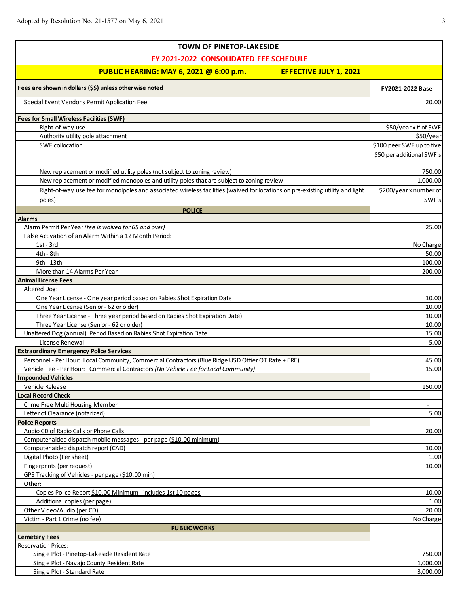| <b>TOWN OF PINETOP-LAKESIDE</b>                                                                                                |                           |
|--------------------------------------------------------------------------------------------------------------------------------|---------------------------|
| FY 2021-2022 CONSOLIDATED FEE SCHEDULE                                                                                         |                           |
| PUBLIC HEARING: MAY 6, 2021 @ 6:00 p.m.<br><b>EFFECTIVE JULY 1, 2021</b>                                                       |                           |
| Fees are shown in dollars (\$\$) unless otherwise noted                                                                        | <b>FY2021-2022 Base</b>   |
| Special Event Vendor's Permit Application Fee                                                                                  | 20.00                     |
| <b>Fees for Small Wireless Facilities (SWF)</b>                                                                                |                           |
| Right-of-way use                                                                                                               | \$50/year x # of SWF      |
| Authority utility pole attachment                                                                                              | \$50/year                 |
| <b>SWF collocation</b>                                                                                                         | \$100 peer SWF up to five |
|                                                                                                                                | \$50 per additional SWF's |
| New replacement or modified utility poles (not subject to zoning review)                                                       | 750.00                    |
| New replacement or modified monopoles and utility poles that are subject to zoning review                                      | 1,000.00                  |
| Right-of-way use fee for monolpoles and associated wireless facilities (waived for locations on pre-existing utility and light | \$200/year x number of    |
| poles)                                                                                                                         | SWF's                     |
| <b>POLICE</b>                                                                                                                  |                           |
| <b>Alarms</b>                                                                                                                  |                           |
| Alarm Permit Per Year (fee is waived for 65 and over)                                                                          | 25.00                     |
| False Activation of an Alarm Within a 12 Month Period:                                                                         |                           |
| $1st - 3rd$                                                                                                                    | No Charge                 |
| 4th - 8th                                                                                                                      | 50.00                     |
| 9th - 13th                                                                                                                     | 100.00                    |
| More than 14 Alarms Per Year<br><b>Animal License Fees</b>                                                                     | 200.00                    |
| Altered Dog:                                                                                                                   |                           |
| One Year License - One year period based on Rabies Shot Expiration Date                                                        | 10.00                     |
| One Year License (Senior - 62 or older)                                                                                        | 10.00                     |
| Three Year License - Three year period based on Rabies Shot Expiration Date)                                                   | 10.00                     |
| Three Year License (Senior - 62 or older)                                                                                      | 10.00                     |
| Unaltered Dog (annual) Period Based on Rabies Shot Expiration Date                                                             | 15.00                     |
| License Renewal                                                                                                                | 5.00                      |
| <b>Extraordinary Emergency Police Services</b>                                                                                 |                           |
| Personnel - Per Hour: Local Community, Commercial Contractors (Blue Ridge USD Offier OT Rate + ERE)                            | 45.00                     |
| Vehicle Fee - Per Hour: Commercial Contractors (No Vehicle Fee for Local Community)                                            | 15.00                     |
| <b>Impounded Vehicles</b>                                                                                                      |                           |
| Vehicle Release                                                                                                                | 150.00                    |
| <b>Local Record Check</b>                                                                                                      |                           |
| Crime Free Multi Housing Member                                                                                                | $\overline{\phantom{a}}$  |
| Letter of Clearance (notarized)                                                                                                | 5.00                      |
| <b>Police Reports</b>                                                                                                          |                           |
| Audio CD of Radio Calls or Phone Calls                                                                                         | 20.00                     |
| Computer aided dispatch mobile messages - per page (\$10.00 minimum)                                                           |                           |
| Computer aided dispatch report (CAD)                                                                                           | 10.00                     |
| Digital Photo (Per sheet)                                                                                                      | 1.00                      |
| Fingerprints (per request)<br>GPS Tracking of Vehicles - per page (\$10.00 min)                                                | 10.00                     |
| Other:                                                                                                                         |                           |
| Copies Police Report \$10.00 Minimum - includes 1st 10 pages                                                                   | 10.00                     |
| Additional copies (per page)                                                                                                   | 1.00                      |
| Other Video/Audio (per CD)                                                                                                     | 20.00                     |
| Victim - Part 1 Crime (no fee)                                                                                                 | No Charge                 |
| <b>PUBLIC WORKS</b>                                                                                                            |                           |
| <b>Cemetery Fees</b>                                                                                                           |                           |
| <b>Reservation Prices:</b>                                                                                                     |                           |
| Single Plot - Pinetop-Lakeside Resident Rate                                                                                   | 750.00                    |
| Single Plot - Navajo County Resident Rate                                                                                      | 1,000.00                  |
| Single Plot - Standard Rate                                                                                                    | 3,000.00                  |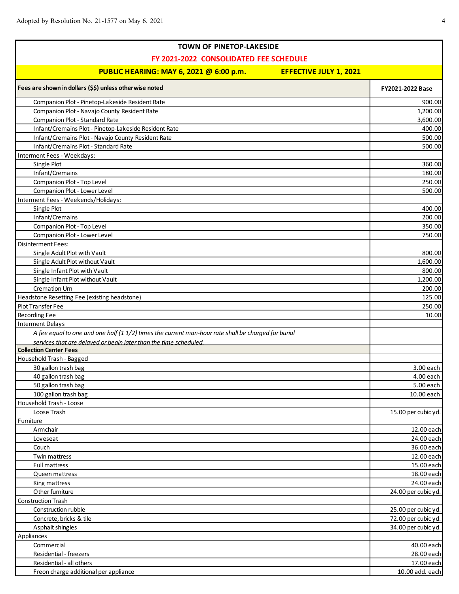$\mathsf{r}$ 

| <b>TOWN OF PINETOP-LAKESIDE</b>                                                                     |                     |
|-----------------------------------------------------------------------------------------------------|---------------------|
| FY 2021-2022 CONSOLIDATED FEE SCHEDULE                                                              |                     |
| PUBLIC HEARING: MAY 6, 2021 @ 6:00 p.m.<br><b>EFFECTIVE JULY 1, 2021</b>                            |                     |
|                                                                                                     |                     |
| Fees are shown in dollars (\$\$) unless otherwise noted                                             | FY2021-2022 Base    |
| Companion Plot - Pinetop-Lakeside Resident Rate                                                     | 900.00              |
| Companion Plot - Navajo County Resident Rate                                                        | 1,200.00            |
| Companion Plot - Standard Rate                                                                      | 3,600.00            |
| Infant/Cremains Plot - Pinetop-Lakeside Resident Rate                                               | 400.00              |
| Infant/Cremains Plot - Navajo County Resident Rate                                                  | 500.00              |
| Infant/Cremains Plot - Standard Rate                                                                | 500.00              |
| Interment Fees - Weekdays:                                                                          |                     |
| Single Plot                                                                                         | 360.00              |
| Infant/Cremains                                                                                     | 180.00              |
| Companion Plot - Top Level                                                                          | 250.00              |
| Companion Plot - Lower Level                                                                        | 500.00              |
| Interment Fees - Weekends/Holidays:                                                                 |                     |
| Single Plot                                                                                         | 400.00              |
| Infant/Cremains                                                                                     | 200.00              |
| Companion Plot - Top Level                                                                          | 350.00              |
| Companion Plot - Lower Level                                                                        | 750.00              |
| <b>Disinterment Fees:</b>                                                                           |                     |
| Single Adult Plot with Vault                                                                        | 800.00              |
| Single Adult Plot without Vault                                                                     | 1,600.00            |
| Single Infant Plot with Vault                                                                       | 800.00              |
| Single Infant Plot without Vault                                                                    | 1,200.00            |
| Cremation Urn                                                                                       | 200.00              |
| Headstone Resetting Fee (existing headstone)                                                        | 125.00              |
| Plot Transfer Fee                                                                                   | 250.00              |
| Recording Fee                                                                                       | 10.00               |
| <b>Interment Delays</b>                                                                             |                     |
| A fee equal to one and one half (1 1/2) times the current man-hour rate shall be charged for burial |                     |
| services that are delayed or begin later than the time scheduled.                                   |                     |
| <b>Collection Center Fees</b>                                                                       |                     |
| Household Trash - Bagged                                                                            |                     |
| 30 gallon trash bag                                                                                 | 3.00 each           |
| 40 gallon trash bag                                                                                 | 4.00 each           |
| 50 gallon trash bag                                                                                 | 5.00 each           |
| 100 gallon trash bag                                                                                | 10.00 each          |
| Household Trash - Loose<br>Loose Trash                                                              | 15.00 per cubic yd. |
| Furniture                                                                                           |                     |
| Armchair                                                                                            | 12.00 each          |
| Loveseat                                                                                            | 24.00 each          |
| Couch                                                                                               | 36.00 each          |
| Twin mattress                                                                                       | 12.00 each          |
| <b>Full mattress</b>                                                                                | 15.00 each          |
| Queen mattress                                                                                      | 18.00 each          |
| King mattress                                                                                       | 24.00 each          |
| Other furniture                                                                                     | 24.00 per cubic yd. |
| Construction Trash                                                                                  |                     |
| Construction rubble                                                                                 | 25.00 per cubic yd. |
| Concrete, bricks & tile                                                                             | 72.00 per cubic yd. |
| Asphalt shingles                                                                                    | 34.00 per cubic yd. |
| Appliances                                                                                          |                     |
| Commercial                                                                                          | 40.00 each          |
| Residential - freezers                                                                              | 28.00 each          |
| Residential - all others                                                                            | 17.00 each          |
| Freon charge additional per appliance                                                               | 10.00 add. each     |
|                                                                                                     |                     |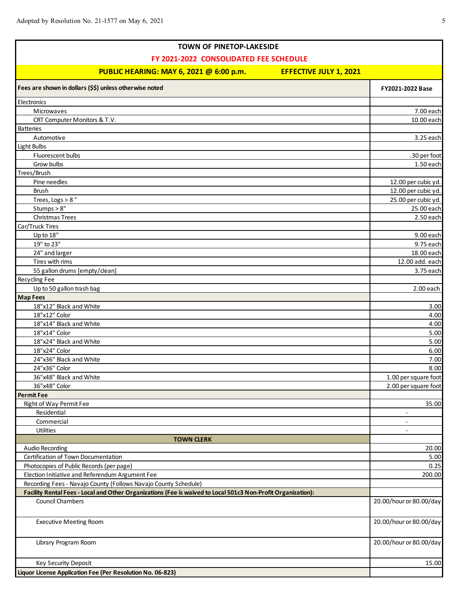Г

| <b>TOWN OF PINETOP-LAKESIDE</b>                                                                              |                          |
|--------------------------------------------------------------------------------------------------------------|--------------------------|
| FY 2021-2022 CONSOLIDATED FEE SCHEDULE                                                                       |                          |
| PUBLIC HEARING: MAY 6, 2021 @ 6:00 p.m.<br><b>EFFECTIVE JULY 1, 2021</b>                                     |                          |
| Fees are shown in dollars (\$\$) unless otherwise noted                                                      |                          |
|                                                                                                              | FY2021-2022 Base         |
| Electronics                                                                                                  |                          |
| Microwaves                                                                                                   | 7.00 each                |
| CRT Computer Monitors & T.V.                                                                                 | 10.00 each               |
| <b>Batteries</b>                                                                                             |                          |
| Automotive                                                                                                   | 3.25 each                |
| Light Bulbs                                                                                                  |                          |
| Fluorescent bulbs                                                                                            | .30 per foot             |
| Grow bulbs                                                                                                   | 1.50 each                |
| Trees/Brush                                                                                                  |                          |
| Pine needles                                                                                                 | 12.00 per cubic yd.      |
| <b>Brush</b>                                                                                                 | 12.00 per cubic yd.      |
| Trees, Logs > 8"                                                                                             | 25.00 per cubic yd.      |
| Stumps > 8"                                                                                                  | 25.00 each               |
| Christmas Trees                                                                                              | 2.50 each                |
| Car/Truck Tires                                                                                              |                          |
| Up to 18"                                                                                                    | 9.00 each                |
| 19" to 23"                                                                                                   | 9.75 each                |
| 24" and larger                                                                                               | 18.00 each               |
| Tires with rims                                                                                              | 12.00 add. each          |
| 55 gallon drums [empty/clean]                                                                                | 3.75 each                |
| Recycling Fee                                                                                                |                          |
| Up to 50 gallon trash bag                                                                                    | 2.00 each                |
| <b>Map Fees</b>                                                                                              |                          |
| 18"x12" Black and White                                                                                      | 3.00                     |
| 18"x12" Color                                                                                                | 4.00                     |
| 18"x14" Black and White                                                                                      | 4.00                     |
| 18"x14" Color                                                                                                | 5.00                     |
| 18"x24" Black and White                                                                                      | 5.00                     |
| 18"x24" Color<br>24"x36" Black and White                                                                     | 6.00                     |
|                                                                                                              | 7.00<br>8.00             |
| 24"x36" Color<br>36"x48" Black and White                                                                     | 1.00 per square foot     |
| 36"x48" Color                                                                                                | 2.00 per square foot     |
| <b>Permit Fee</b>                                                                                            |                          |
| Right of Way Permit Fee                                                                                      | 35.00                    |
| Residential                                                                                                  |                          |
| Commercial                                                                                                   | $\overline{\phantom{a}}$ |
| <b>Utilities</b>                                                                                             |                          |
| <b>TOWN CLERK</b>                                                                                            |                          |
| <b>Audio Recording</b>                                                                                       | 20.00                    |
| Certification of Town Documentation                                                                          | 5.00                     |
| Photocopies of Public Records (per page)                                                                     | 0.25                     |
| Election Initiative and Referendum Argument Fee                                                              | 200.00                   |
| Recording Fees - Navajo County (Follows Navajo County Schedule)                                              |                          |
| Facility Rental Fees - Local and Other Organizations (Fee is waived to Local 501c3 Non-Profit Organization): |                          |
| <b>Council Chambers</b>                                                                                      | 20.00/hour or 80.00/day  |
|                                                                                                              |                          |
|                                                                                                              | 20.00/hour or 80.00/day  |
| <b>Executive Meeting Room</b>                                                                                |                          |
|                                                                                                              |                          |
| Library Program Room                                                                                         | 20.00/hour or 80.00/day  |
|                                                                                                              |                          |
| Key Security Deposit                                                                                         | 15.00                    |
| Liquor License Application Fee (Per Resolution No. 06-823)                                                   |                          |

ī